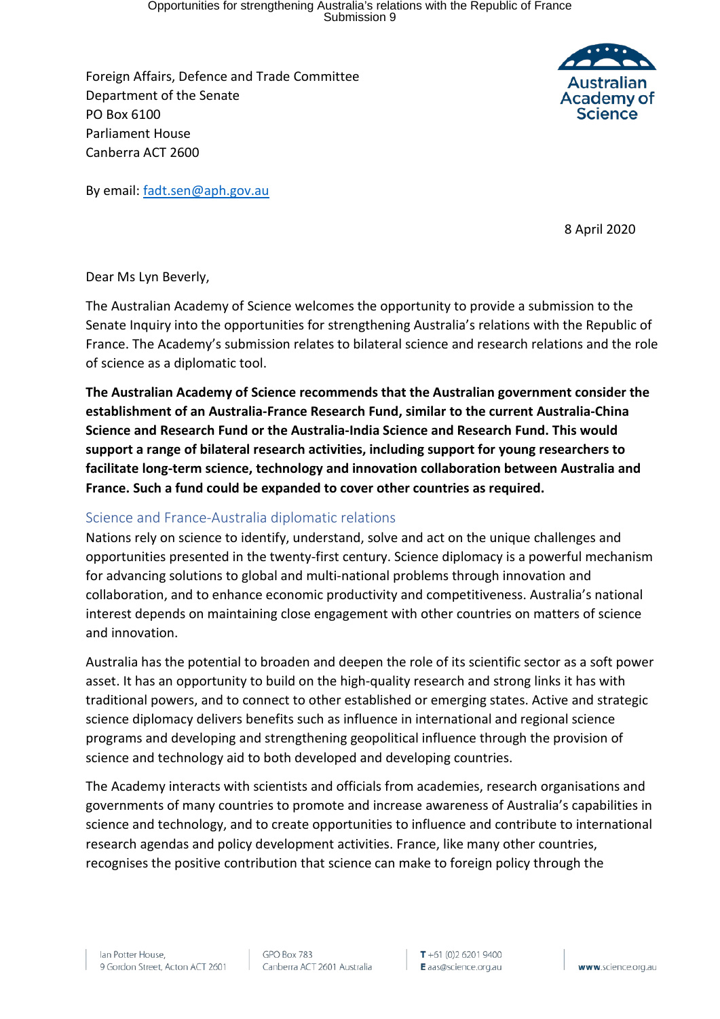Opportunities for strengthening Australia's relations with the Republic of France Submission 9

Foreign Affairs, Defence and Trade Committee Department of the Senate PO Box 6100 Parliament House Canberra ACT 2600



By email: [fadt.sen@aph.gov.au](mailto:fadt.sen@aph.gov.au)

8 April 2020

Dear Ms Lyn Beverly,

The Australian Academy of Science welcomes the opportunity to provide a submission to the Senate Inquiry into the opportunities for strengthening Australia's relations with the Republic of France. The Academy's submission relates to bilateral science and research relations and the role of science as a diplomatic tool.

**The Australian Academy of Science recommends that the Australian government consider the establishment of an Australia-France Research Fund, similar to the current Australia-China Science and Research Fund or the Australia-India Science and Research Fund. This would support a range of bilateral research activities, including support for young researchers to facilitate long-term science, technology and innovation collaboration between Australia and France. Such a fund could be expanded to cover other countries as required.**

### Science and France-Australia diplomatic relations

Nations rely on science to identify, understand, solve and act on the unique challenges and opportunities presented in the twenty-first century. Science diplomacy is a powerful mechanism for advancing solutions to global and multi-national problems through innovation and collaboration, and to enhance economic productivity and competitiveness. Australia's national interest depends on maintaining close engagement with other countries on matters of science and innovation.

Australia has the potential to broaden and deepen the role of its scientific sector as a soft power asset. It has an opportunity to build on the high-quality research and strong links it has with traditional powers, and to connect to other established or emerging states. Active and strategic science diplomacy delivers benefits such as influence in international and regional science programs and developing and strengthening geopolitical influence through the provision of science and technology aid to both developed and developing countries.

The Academy interacts with scientists and officials from academies, research organisations and governments of many countries to promote and increase awareness of Australia's capabilities in science and technology, and to create opportunities to influence and contribute to international research agendas and policy development activities. France, like many other countries, recognises the positive contribution that science can make to foreign policy through the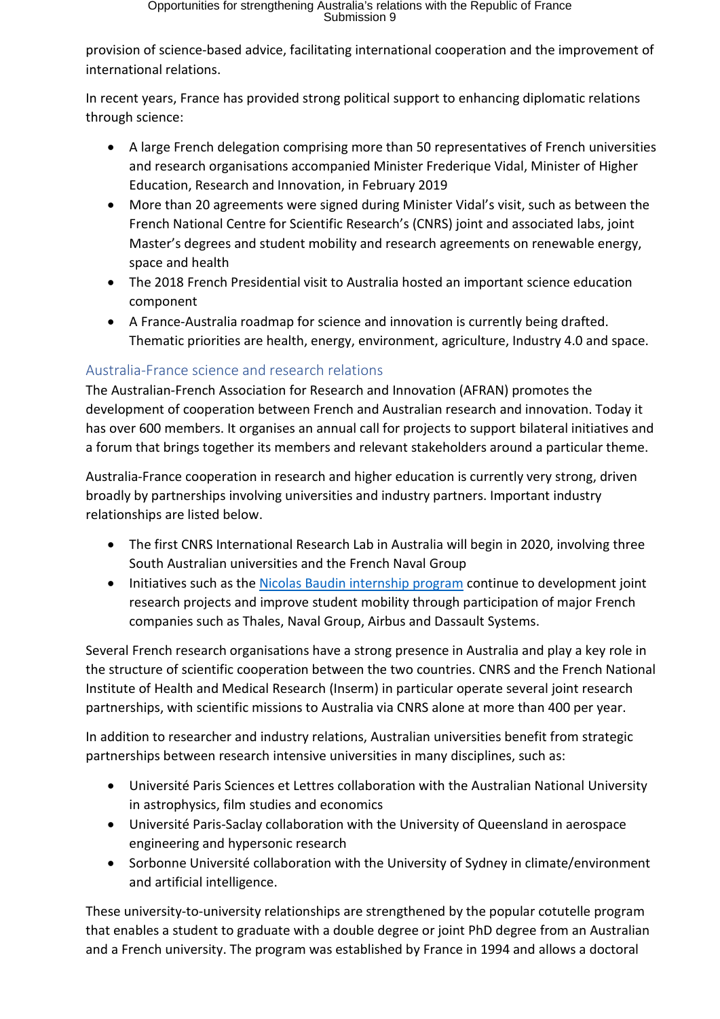provision of science-based advice, facilitating international cooperation and the improvement of international relations.

In recent years, France has provided strong political support to enhancing diplomatic relations through science:

- A large French delegation comprising more than 50 representatives of French universities and research organisations accompanied Minister Frederique Vidal, Minister of Higher Education, Research and Innovation, in February 2019
- More than 20 agreements were signed during Minister Vidal's visit, such as between the French National Centre for Scientific Research's (CNRS) joint and associated labs, joint Master's degrees and student mobility and research agreements on renewable energy, space and health
- The 2018 French Presidential visit to Australia hosted an important science education component
- A France-Australia roadmap for science and innovation is currently being drafted. Thematic priorities are health, energy, environment, agriculture, Industry 4.0 and space.

## Australia-France science and research relations

The Australian-French Association for Research and Innovation (AFRAN) promotes the development of cooperation between French and Australian research and innovation. Today it has over 600 members. It organises an annual call for projects to support bilateral initiatives and a forum that brings together its members and relevant stakeholders around a particular theme.

Australia-France cooperation in research and higher education is currently very strong, driven broadly by partnerships involving universities and industry partners. Important industry relationships are listed below.

- The first CNRS International Research Lab in Australia will begin in 2020, involving three South Australian universities and the French Naval Group
- Initiatives such as the [Nicolas Baudin internship program](https://au.ambafrance.org/Nicolas-Baudin-Program-Internships-in-France-initiative) continue to development joint research projects and improve student mobility through participation of major French companies such as Thales, Naval Group, Airbus and Dassault Systems.

Several French research organisations have a strong presence in Australia and play a key role in the structure of scientific cooperation between the two countries. CNRS and the French National Institute of Health and Medical Research (Inserm) in particular operate several joint research partnerships, with scientific missions to Australia via CNRS alone at more than 400 per year.

In addition to researcher and industry relations, Australian universities benefit from strategic partnerships between research intensive universities in many disciplines, such as:

- Université Paris Sciences et Lettres collaboration with the Australian National University in astrophysics, film studies and economics
- Université Paris-Saclay collaboration with the University of Queensland in aerospace engineering and hypersonic research
- Sorbonne Université collaboration with the University of Sydney in climate/environment and artificial intelligence.

These university-to-university relationships are strengthened by the popular cotutelle program that enables a student to graduate with a double degree or joint PhD degree from an Australian and a French university. The program was established by France in 1994 and allows a doctoral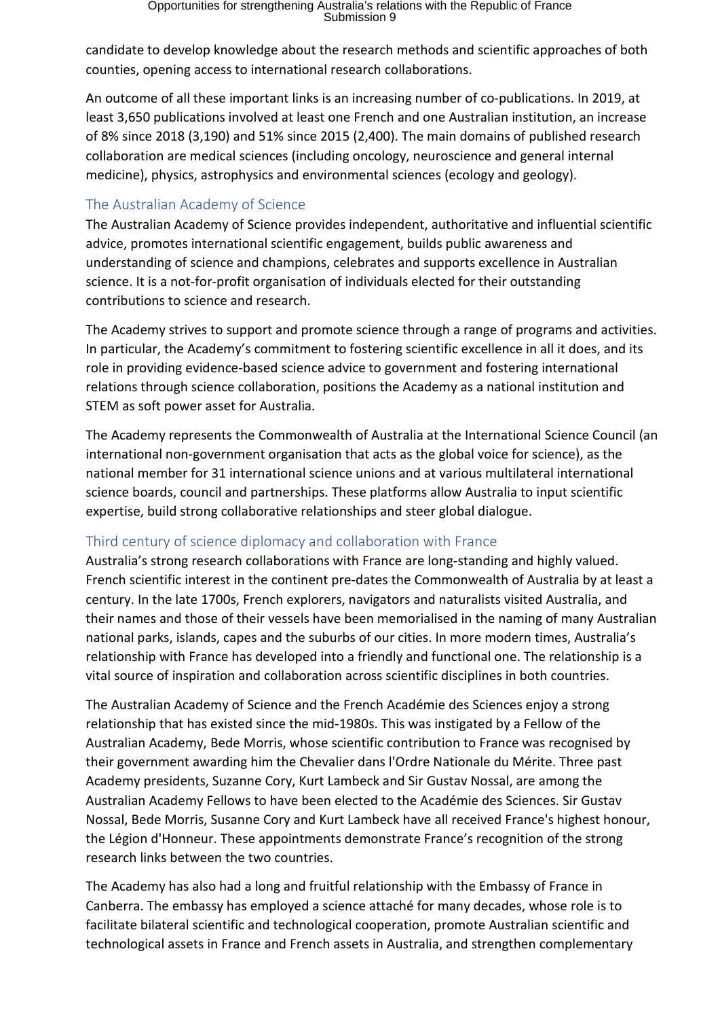candidate to develop knowledge about the research methods and scientific approaches of both counties, opening access to international research collaborations.

An outcome of all these important links is an increasing number of co-publications. In 2019, at least 3,650 publications involved at least one French and one Australian institution, an increase of 8% since 2018 (3,190) and 51% since 2015 (2,400). The main domains of published research collaboration are medical sciences (including oncology, neuroscience and general internal medicine), physics, astrophysics and environmental sciences (ecology and geology).

### The Australian Academy of Science

The Australian Academy of Science provides independent, authoritative and influential scientific advice, promotes international scientific engagement, builds public awareness and understanding of science and champions, celebrates and supports excellence in Australian science. It is a not-for-profit organisation of individuals elected for their outstanding contributions to science and research.

The Academy strives to support and promote science through a range of programs and activities. In particular, the Academy's commitment to fostering scientific excellence in all it does, and its role in providing evidence-based science advice to government and fostering international relations through science collaboration, positions the Academy as a national institution and STEM as soft power asset for Australia.

The Academy represents the Commonwealth of Australia at the International Science Council (an international non-government organisation that acts as the global voice for science), as the national member for 31 international science unions and at various multilateral international science boards, council and partnerships. These platforms allow Australia to input scientific expertise, build strong collaborative relationships and steer global dialogue.

# Third century of science diplomacy and collaboration with France

Australia's strong research collaborations with France are long-standing and highly valued. French scientific interest in the continent pre-dates the Commonwealth of Australia by at least a century. In the late 1700s, French explorers, navigators and naturalists visited Australia, and their names and those of their vessels have been memorialised in the naming of many Australian national parks, islands, capes and the suburbs of our cities. In more modern times, Australia's relationship with France has developed into a friendly and functional one. The relationship is a vital source of inspiration and collaboration across scientific disciplines in both countries.

The Australian Academy of Science and the French Académie des Sciences enjoy a strong relationship that has existed since the mid-1980s. This was instigated by a Fellow of the Australian Academy, Bede Morris, whose scientific contribution to France was recognised by their government awarding him the Chevalier dans l'Ordre Nationale du Mérite. Three past Academy presidents, Suzanne Cory, Kurt Lambeck and Sir Gustav Nossal, are among the Australian Academy Fellows to have been elected to the Académie des Sciences. Sir Gustav Nossal, Bede Morris, Susanne Cory and Kurt Lambeck have all received France's highest honour, the Légion d'Honneur. These appointments demonstrate France's recognition of the strong research links between the two countries.

The Academy has also had a long and fruitful relationship with the Embassy of France in Canberra. The embassy has employed a science attaché for many decades, whose role is to facilitate bilateral scientific and technological cooperation, promote Australian scientific and technological assets in France and French assets in Australia, and strengthen complementary